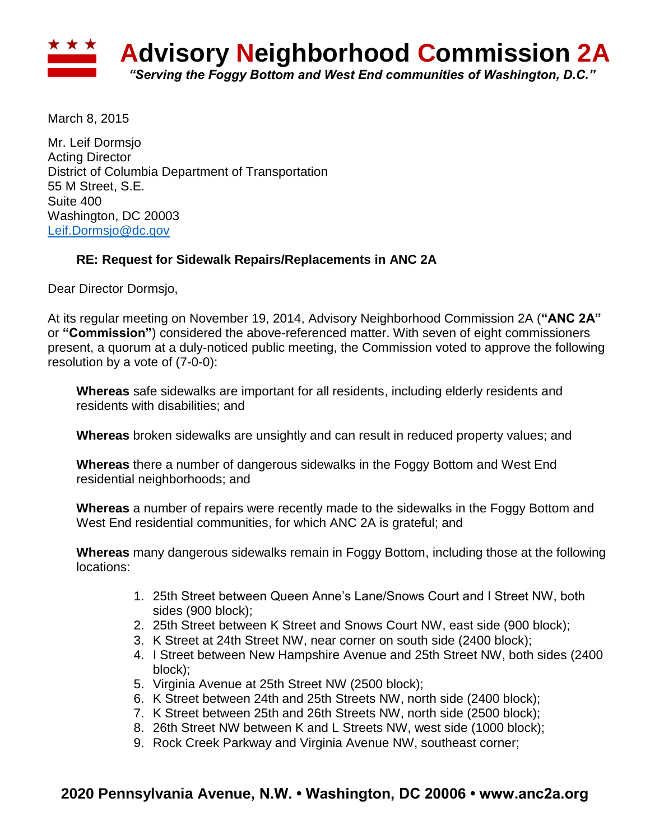

March 8, 2015

Mr. Leif Dormsjo Acting Director District of Columbia Department of Transportation 55 M Street, S.E. Suite 400 Washington, DC 20003 [Leif.Dormsjo@dc.gov](mailto:Leif.Dormsjo@dc.gov)

## **RE: Request for Sidewalk Repairs/Replacements in ANC 2A**

Dear Director Dormsjo,

At its regular meeting on November 19, 2014, Advisory Neighborhood Commission 2A (**"ANC 2A"**  or **"Commission"**) considered the above-referenced matter. With seven of eight commissioners present, a quorum at a duly-noticed public meeting, the Commission voted to approve the following resolution by a vote of (7-0-0):

**Whereas** safe sidewalks are important for all residents, including elderly residents and residents with disabilities; and

**Whereas** broken sidewalks are unsightly and can result in reduced property values; and

**Whereas** there a number of dangerous sidewalks in the Foggy Bottom and West End residential neighborhoods; and

**Whereas** a number of repairs were recently made to the sidewalks in the Foggy Bottom and West End residential communities, for which ANC 2A is grateful; and

**Whereas** many dangerous sidewalks remain in Foggy Bottom, including those at the following locations:

- 1. 25th Street between Queen Anne's Lane/Snows Court and I Street NW, both sides (900 block);
- 2. 25th Street between K Street and Snows Court NW, east side (900 block);
- 3. K Street at 24th Street NW, near corner on south side (2400 block);
- 4. I Street between New Hampshire Avenue and 25th Street NW, both sides (2400 block);
- 5. Virginia Avenue at 25th Street NW (2500 block);
- 6. K Street between 24th and 25th Streets NW, north side (2400 block);
- 7. K Street between 25th and 26th Streets NW, north side (2500 block);
- 8. 26th Street NW between K and L Streets NW, west side (1000 block);
- 9. Rock Creek Parkway and Virginia Avenue NW, southeast corner;